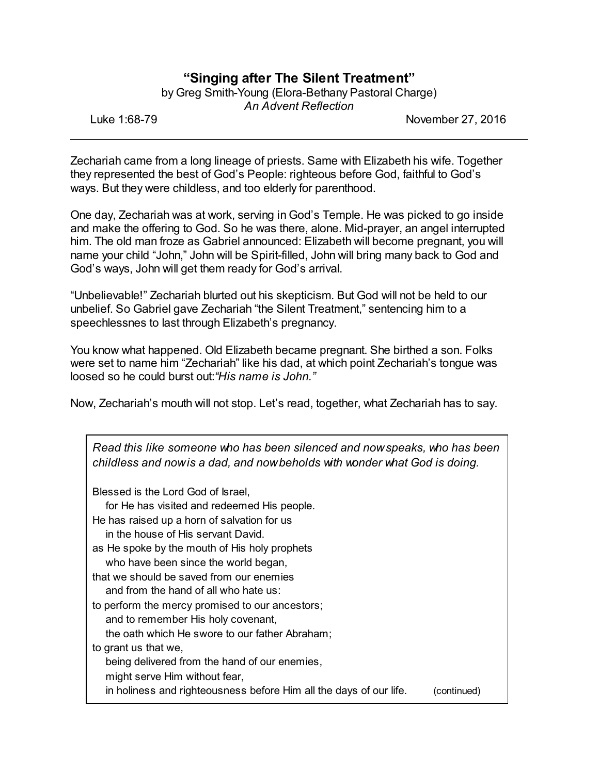## **"Singing after The Silent Treatment"**

by Greg Smith-Young (Elora-Bethany Pastoral Charge) *An Advent Reflection*

Luke 1:68-79 November 27, 2016

Zechariah came from a long lineage of priests. Same with Elizabeth his wife. Together they represented the best of God's People: righteous before God, faithful to God's ways. But they were childless, and too elderly for parenthood.

One day, Zechariah was at work, serving in God's Temple. He was picked to go inside and make the offering to God. So he was there, alone. Mid-prayer, an angel interrupted him. The old man froze as Gabriel announced: Elizabeth will become pregnant, you will name your child "John," John will be Spirit-filled, John will bring many back to God and God's ways, John will get them ready for God's arrival.

"Unbelievable!" Zechariah blurted out his skepticism. But God will not be held to our unbelief. So Gabriel gave Zechariah "the Silent Treatment," sentencing him to a speechlessnes to last through Elizabeth's pregnancy.

You know what happened. Old Elizabeth became pregnant. She birthed a son. Folks were set to name him "Zechariah" like his dad, at which point Zechariah's tongue was loosed so he could burst out:*"His name is John."*

Now, Zechariah's mouth will not stop. Let's read, together, what Zechariah has to say.

| Read this like someone who has been silenced and now speaks, who has been<br>childless and now is a dad, and now beholds with wonder what God is doing. |
|---------------------------------------------------------------------------------------------------------------------------------------------------------|
| Blessed is the Lord God of Israel,                                                                                                                      |
| for He has visited and redeemed His people.                                                                                                             |
| He has raised up a horn of salvation for us                                                                                                             |
| in the house of His servant David.                                                                                                                      |
| as He spoke by the mouth of His holy prophets                                                                                                           |
| who have been since the world began,                                                                                                                    |
| that we should be saved from our enemies                                                                                                                |
| and from the hand of all who hate us:                                                                                                                   |
| to perform the mercy promised to our ancestors;                                                                                                         |
| and to remember His holy covenant,                                                                                                                      |
| the oath which He swore to our father Abraham;                                                                                                          |
| to grant us that we,                                                                                                                                    |
| being delivered from the hand of our enemies,                                                                                                           |
| might serve Him without fear,                                                                                                                           |
| in holiness and righteousness before Him all the days of our life.<br>(continued)                                                                       |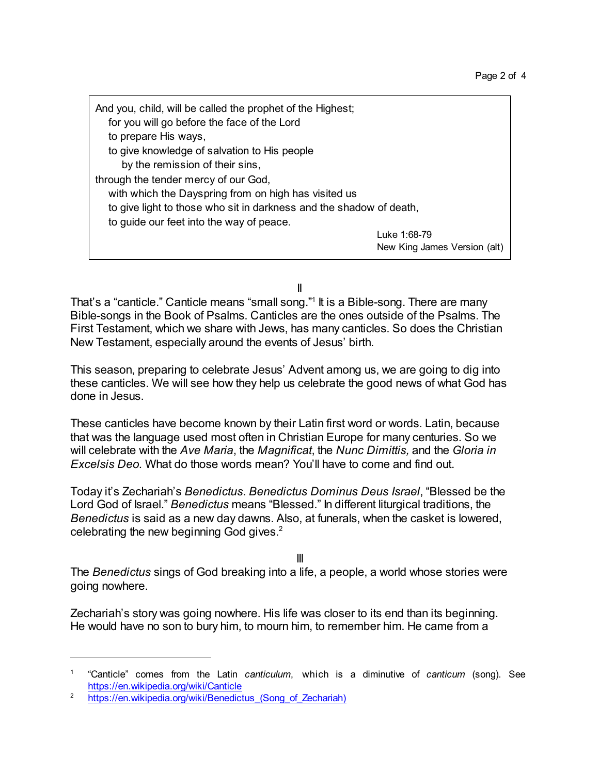And you, child, will be called the prophet of the Highest; for you will go before the face of the Lord to prepare His ways, to give knowledge of salvation to His people by the remission of their sins, through the tender mercy of our God, with which the Dayspring from on high has visited us to give light to those who sit in darkness and the shadow of death, to guide our feet into the way of peace. Luke 1:68-79 New King James Version (alt)

II

That's a "canticle." Canticle means "small song."1 It is a Bible-song. There are many Bible-songs in the Book of Psalms. Canticles are the ones outside of the Psalms. The First Testament, which we share with Jews, has many canticles. So does the Christian New Testament, especially around the events of Jesus' birth.

This season, preparing to celebrate Jesus' Advent among us, we are going to dig into these canticles. We will see how they help us celebrate the good news of what God has done in Jesus.

These canticles have become known by their Latin first word or words. Latin, because that was the language used most often in Christian Europe for many centuries. So we will celebrate with the *Ave Maria*, the *Magnificat*, the *Nunc Dimittis,* and the *Gloria in Excelsis Deo.* What do those words mean? You'll have to come and find out.

Today it's Zechariah's *Benedictus*. *Benedictus Dominus Deus Israel*, "Blessed be the Lord God of Israel." *Benedictus* means "Blessed." In different liturgical traditions, the *Benedictus* is said as a new day dawns. Also, at funerals, when the casket is lowered, celebrating the new beginning God gives.<sup>2</sup>

III

The *Benedictus* sings of God breaking into a life, a people, a world whose stories were going nowhere.

Zechariah's story was going nowhere. His life was closer to its end than its beginning. He would have no son to bury him, to mourn him, to remember him. He came from a

<sup>1</sup> "Canticle" comes from the Latin *canticulum*, which is a diminutive of *canticum* (song). See <https://en.wikipedia.org/wiki/Canticle>

<sup>&</sup>lt;sup>2</sup> https://en.wikipedia.org/wiki/Benedictus (Song of Zechariah)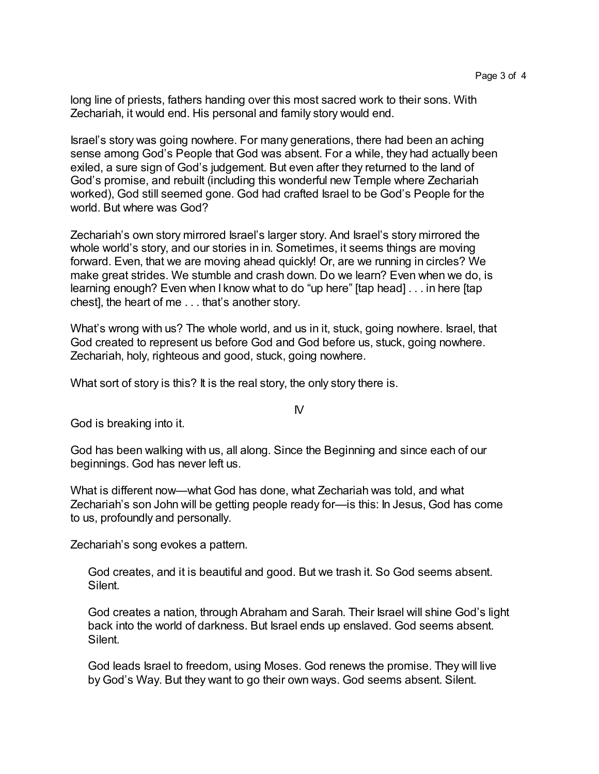long line of priests, fathers handing over this most sacred work to their sons. With Zechariah, it would end. His personal and family story would end.

Israel's story was going nowhere. For many generations, there had been an aching sense among God's People that God was absent. For a while, they had actually been exiled, a sure sign of God's judgement. But even after they returned to the land of God's promise, and rebuilt (including this wonderful new Temple where Zechariah worked), God still seemed gone. God had crafted Israel to be God's People for the world. But where was God?

Zechariah's own story mirrored Israel's larger story. And Israel's story mirrored the whole world's story, and our stories in in. Sometimes, it seems things are moving forward. Even, that we are moving ahead quickly! Or, are we running in circles? We make great strides. We stumble and crash down. Do we learn? Even when we do, is learning enough? Even when I know what to do "up here" [tap head] . . . in here [tap chest], the heart of me . . . that's another story.

What's wrong with us? The whole world, and us in it, stuck, going nowhere. Israel, that God created to represent us before God and God before us, stuck, going nowhere. Zechariah, holy, righteous and good, stuck, going nowhere.

 $\mathsf{N}$ 

What sort of story is this? It is the real story, the only story there is.

God is breaking into it.

God has been walking with us, all along. Since the Beginning and since each of our beginnings. God has never left us.

What is different now—what God has done, what Zechariah was told, and what Zechariah's son John will be getting people ready for—is this: In Jesus, God has come to us, profoundly and personally.

Zechariah's song evokes a pattern.

God creates, and it is beautiful and good. But we trash it. So God seems absent. Silent.

God creates a nation, through Abraham and Sarah. Their Israel will shine God's light back into the world of darkness. But Israel ends up enslaved. God seems absent. Silent.

God leads Israel to freedom, using Moses. God renews the promise. They will live by God's Way. But they want to go their own ways. God seems absent. Silent.